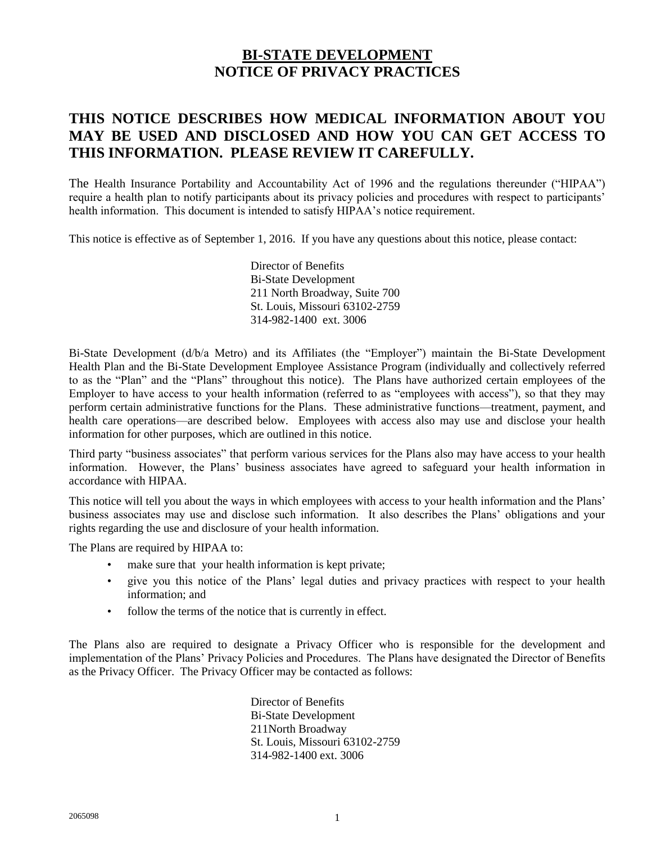# **BI-STATE DEVELOPMENT NOTICE OF PRIVACY PRACTICES**

# **THIS NOTICE DESCRIBES HOW MEDICAL INFORMATION ABOUT YOU MAY BE USED AND DISCLOSED AND HOW YOU CAN GET ACCESS TO THIS INFORMATION. PLEASE REVIEW IT CAREFULLY.**

The Health Insurance Portability and Accountability Act of 1996 and the regulations thereunder ("HIPAA") require a health plan to notify participants about its privacy policies and procedures with respect to participants' health information. This document is intended to satisfy HIPAA's notice requirement.

This notice is effective as of September 1, 2016. If you have any questions about this notice, please contact:

Director of Benefits Bi-State Development 211 North Broadway, Suite 700 St. Louis, Missouri 63102-2759 314-982-1400 ext. 3006

Bi-State Development (d/b/a Metro) and its Affiliates (the "Employer") maintain the Bi-State Development Health Plan and the Bi-State Development Employee Assistance Program (individually and collectively referred to as the "Plan" and the "Plans" throughout this notice). The Plans have authorized certain employees of the Employer to have access to your health information (referred to as "employees with access"), so that they may perform certain administrative functions for the Plans. These administrative functions—treatment, payment, and health care operations—are described below. Employees with access also may use and disclose your health information for other purposes, which are outlined in this notice.

Third party "business associates" that perform various services for the Plans also may have access to your health information. However, the Plans' business associates have agreed to safeguard your health information in accordance with HIPAA.

This notice will tell you about the ways in which employees with access to your health information and the Plans' business associates may use and disclose such information. It also describes the Plans' obligations and your rights regarding the use and disclosure of your health information.

The Plans are required by HIPAA to:

- make sure that your health information is kept private;
- give you this notice of the Plans' legal duties and privacy practices with respect to your health information; and
- follow the terms of the notice that is currently in effect.

The Plans also are required to designate a Privacy Officer who is responsible for the development and implementation of the Plans' Privacy Policies and Procedures. The Plans have designated the Director of Benefits as the Privacy Officer. The Privacy Officer may be contacted as follows:

> Director of Benefits Bi-State Development 211North Broadway St. Louis, Missouri 63102-2759 314-982-1400 ext. 3006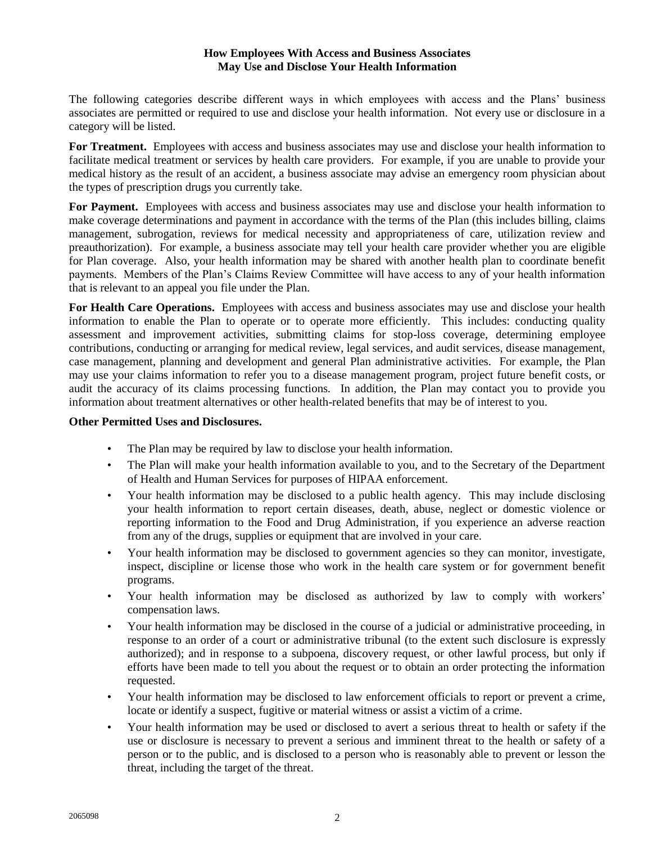# **How Employees With Access and Business Associates May Use and Disclose Your Health Information**

The following categories describe different ways in which employees with access and the Plans' business associates are permitted or required to use and disclose your health information. Not every use or disclosure in a category will be listed.

**For Treatment.** Employees with access and business associates may use and disclose your health information to facilitate medical treatment or services by health care providers. For example, if you are unable to provide your medical history as the result of an accident, a business associate may advise an emergency room physician about the types of prescription drugs you currently take.

For Payment. Employees with access and business associates may use and disclose your health information to make coverage determinations and payment in accordance with the terms of the Plan (this includes billing, claims management, subrogation, reviews for medical necessity and appropriateness of care, utilization review and preauthorization). For example, a business associate may tell your health care provider whether you are eligible for Plan coverage. Also, your health information may be shared with another health plan to coordinate benefit payments. Members of the Plan's Claims Review Committee will have access to any of your health information that is relevant to an appeal you file under the Plan.

**For Health Care Operations.** Employees with access and business associates may use and disclose your health information to enable the Plan to operate or to operate more efficiently. This includes: conducting quality assessment and improvement activities, submitting claims for stop-loss coverage, determining employee contributions, conducting or arranging for medical review, legal services, and audit services, disease management, case management, planning and development and general Plan administrative activities. For example, the Plan may use your claims information to refer you to a disease management program, project future benefit costs, or audit the accuracy of its claims processing functions. In addition, the Plan may contact you to provide you information about treatment alternatives or other health-related benefits that may be of interest to you.

### **Other Permitted Uses and Disclosures.**

- The Plan may be required by law to disclose your health information.
- The Plan will make your health information available to you, and to the Secretary of the Department of Health and Human Services for purposes of HIPAA enforcement.
- Your health information may be disclosed to a public health agency. This may include disclosing your health information to report certain diseases, death, abuse, neglect or domestic violence or reporting information to the Food and Drug Administration, if you experience an adverse reaction from any of the drugs, supplies or equipment that are involved in your care.
- Your health information may be disclosed to government agencies so they can monitor, investigate, inspect, discipline or license those who work in the health care system or for government benefit programs.
- Your health information may be disclosed as authorized by law to comply with workers' compensation laws.
- Your health information may be disclosed in the course of a judicial or administrative proceeding, in response to an order of a court or administrative tribunal (to the extent such disclosure is expressly authorized); and in response to a subpoena, discovery request, or other lawful process, but only if efforts have been made to tell you about the request or to obtain an order protecting the information requested.
- Your health information may be disclosed to law enforcement officials to report or prevent a crime, locate or identify a suspect, fugitive or material witness or assist a victim of a crime.
- Your health information may be used or disclosed to avert a serious threat to health or safety if the use or disclosure is necessary to prevent a serious and imminent threat to the health or safety of a person or to the public, and is disclosed to a person who is reasonably able to prevent or lesson the threat, including the target of the threat.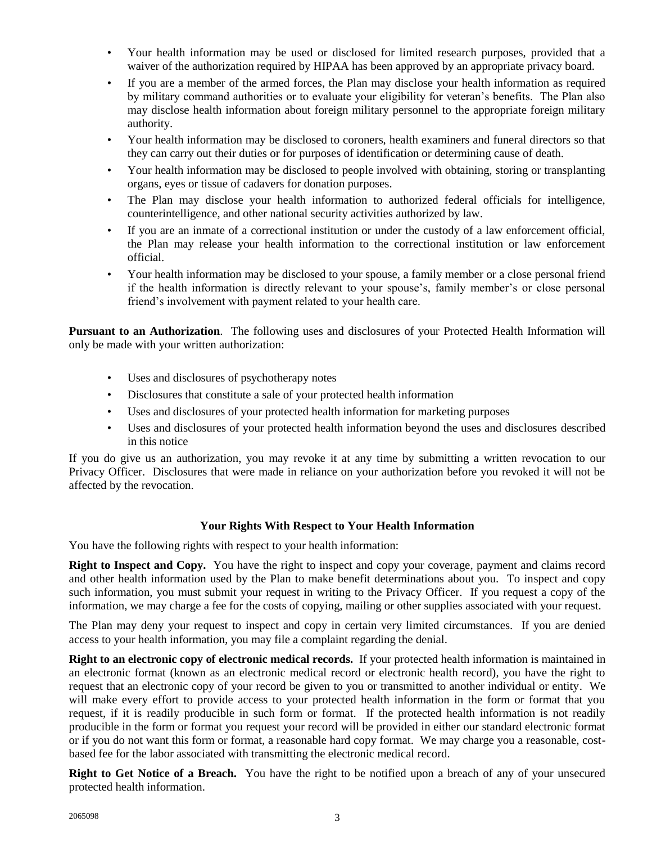- Your health information may be used or disclosed for limited research purposes, provided that a waiver of the authorization required by HIPAA has been approved by an appropriate privacy board.
- If you are a member of the armed forces, the Plan may disclose your health information as required by military command authorities or to evaluate your eligibility for veteran's benefits. The Plan also may disclose health information about foreign military personnel to the appropriate foreign military authority.
- Your health information may be disclosed to coroners, health examiners and funeral directors so that they can carry out their duties or for purposes of identification or determining cause of death.
- Your health information may be disclosed to people involved with obtaining, storing or transplanting organs, eyes or tissue of cadavers for donation purposes.
- The Plan may disclose your health information to authorized federal officials for intelligence, counterintelligence, and other national security activities authorized by law.
- If you are an inmate of a correctional institution or under the custody of a law enforcement official, the Plan may release your health information to the correctional institution or law enforcement official.
- Your health information may be disclosed to your spouse, a family member or a close personal friend if the health information is directly relevant to your spouse's, family member's or close personal friend's involvement with payment related to your health care.

**Pursuant to an Authorization**. The following uses and disclosures of your Protected Health Information will only be made with your written authorization:

- Uses and disclosures of psychotherapy notes
- Disclosures that constitute a sale of your protected health information
- Uses and disclosures of your protected health information for marketing purposes
- Uses and disclosures of your protected health information beyond the uses and disclosures described in this notice

If you do give us an authorization, you may revoke it at any time by submitting a written revocation to our Privacy Officer. Disclosures that were made in reliance on your authorization before you revoked it will not be affected by the revocation.

# **Your Rights With Respect to Your Health Information**

You have the following rights with respect to your health information:

**Right to Inspect and Copy.** You have the right to inspect and copy your coverage, payment and claims record and other health information used by the Plan to make benefit determinations about you. To inspect and copy such information, you must submit your request in writing to the Privacy Officer. If you request a copy of the information, we may charge a fee for the costs of copying, mailing or other supplies associated with your request.

The Plan may deny your request to inspect and copy in certain very limited circumstances. If you are denied access to your health information, you may file a complaint regarding the denial.

**Right to an electronic copy of electronic medical records.** If your protected health information is maintained in an electronic format (known as an electronic medical record or electronic health record), you have the right to request that an electronic copy of your record be given to you or transmitted to another individual or entity. We will make every effort to provide access to your protected health information in the form or format that you request, if it is readily producible in such form or format. If the protected health information is not readily producible in the form or format you request your record will be provided in either our standard electronic format or if you do not want this form or format, a reasonable hard copy format. We may charge you a reasonable, costbased fee for the labor associated with transmitting the electronic medical record.

**Right to Get Notice of a Breach.** You have the right to be notified upon a breach of any of your unsecured protected health information.